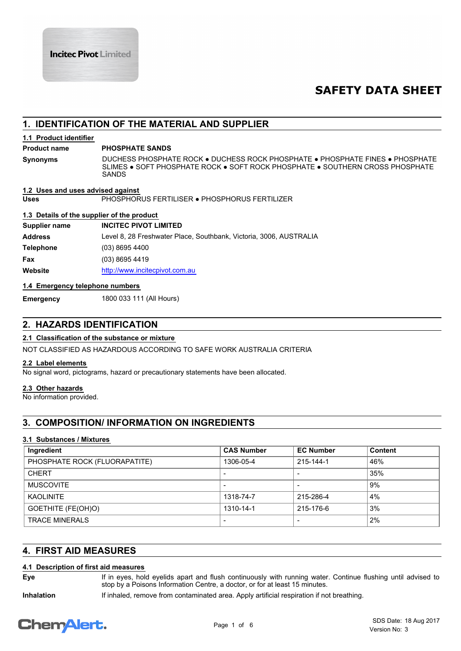# **SAFETY DATA SHEET**

# **1. IDENTIFICATION OF THE MATERIAL AND SUPPLIER**

# **1.1 Product identifier**

## **Product name PHOSPHATE SANDS**

**Synonyms**

DUCHESS PHOSPHATE ROCK ● DUCHESS ROCK PHOSPHATE ● PHOSPHATE FINES ● PHOSPHATE SLIMES ● SOFT PHOSPHATE ROCK ● SOFT ROCK PHOSPHATE ● SOUTHERN CROSS PHOSPHATE SANDS

**Uses** PHOSPHORUS FERTILISER ● PHOSPHORUS FERTILIZER **1.2 Uses and uses advised against**

## **1.3 Details of the supplier of the product**

| Supplier name | <b>INCITEC PIVOT LIMITED</b>                                       |
|---------------|--------------------------------------------------------------------|
| Address       | Level 8, 28 Freshwater Place, Southbank, Victoria, 3006, AUSTRALIA |
| Telephone     | $(03)$ 8695 4400                                                   |
| Fax           | $(03)$ 8695 4419                                                   |
| Website       | http://www.incitecpivot.com.au                                     |

# **1.4 Emergency telephone numbers**

**Emergency** 1800 033 111 (All Hours)

# **2. HAZARDS IDENTIFICATION**

# **2.1 Classification of the substance or mixture**

NOT CLASSIFIED AS HAZARDOUS ACCORDING TO SAFE WORK AUSTRALIA CRITERIA

# **2.2 Label elements**

No signal word, pictograms, hazard or precautionary statements have been allocated.

# **2.3 Other hazards**

No information provided.

# **3. COMPOSITION/ INFORMATION ON INGREDIENTS**

# **3.1 Substances / Mixtures**

| Ingredient                    | <b>CAS Number</b>        | <b>EC Number</b>         | Content |
|-------------------------------|--------------------------|--------------------------|---------|
| PHOSPHATE ROCK (FLUORAPATITE) | 1306-05-4                | 215-144-1                | 46%     |
| <b>CHERT</b>                  | $\overline{\phantom{a}}$ |                          | 35%     |
| <b>MUSCOVITE</b>              | $\overline{\phantom{0}}$ |                          | 9%      |
| <b>KAOLINITE</b>              | 1318-74-7                | 215-286-4                | 4%      |
| GOETHITE (FE(OH)O)            | 1310-14-1                | 215-176-6                | 3%      |
| <b>TRACE MINERALS</b>         | $\overline{\phantom{a}}$ | $\overline{\phantom{0}}$ | 2%      |

# **4. FIRST AID MEASURES**

# **4.1 Description of first aid measures**

**Eye**

If in eyes, hold eyelids apart and flush continuously with running water. Continue flushing until advised to stop by a Poisons Information Centre, a doctor, or for at least 15 minutes.

**Inhalation** If inhaled, remove from contaminated area. Apply artificial respiration if not breathing.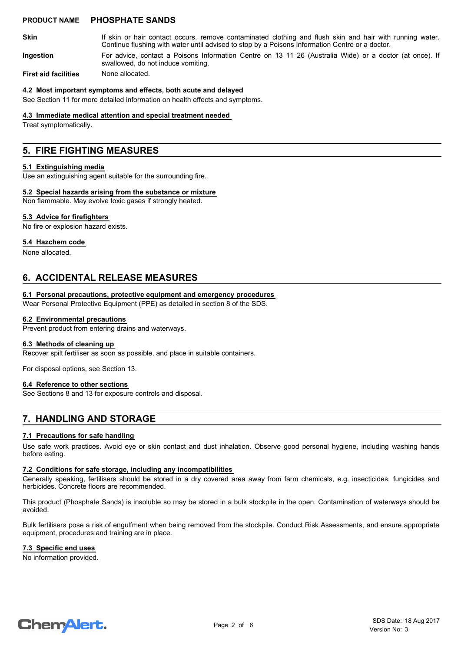## **PRODUCT NAME PHOSPHATE SANDS**

If skin or hair contact occurs, remove contaminated clothing and flush skin and hair with running water. **Skin**

Continue flushing with water until advised to stop by a Poisons Information Centre or a doctor.

For advice, contact a Poisons Information Centre on 13 11 26 (Australia Wide) or a doctor (at once). If swallowed, do not induce vomiting. **Ingestion**

**First aid facilities** None allocated.

### **4.2 Most important symptoms and effects, both acute and delayed**

See Section 11 for more detailed information on health effects and symptoms.

#### **4.3 Immediate medical attention and special treatment needed**

Treat symptomatically.

# **5. FIRE FIGHTING MEASURES**

### **5.1 Extinguishing media**

Use an extinguishing agent suitable for the surrounding fire.

## **5.2 Special hazards arising from the substance or mixture**

Non flammable. May evolve toxic gases if strongly heated.

## **5.3 Advice for firefighters**

No fire or explosion hazard exists.

# **5.4 Hazchem code**

None allocated.

# **6. ACCIDENTAL RELEASE MEASURES**

### **6.1 Personal precautions, protective equipment and emergency procedures**

Wear Personal Protective Equipment (PPE) as detailed in section 8 of the SDS.

### **6.2 Environmental precautions**

Prevent product from entering drains and waterways.

### **6.3 Methods of cleaning up**

Recover spilt fertiliser as soon as possible, and place in suitable containers.

For disposal options, see Section 13.

## **6.4 Reference to other sections**

See Sections 8 and 13 for exposure controls and disposal.

# **7. HANDLING AND STORAGE**

## **7.1 Precautions for safe handling**

Use safe work practices. Avoid eye or skin contact and dust inhalation. Observe good personal hygiene, including washing hands before eating.

### **7.2 Conditions for safe storage, including any incompatibilities**

Generally speaking, fertilisers should be stored in a dry covered area away from farm chemicals, e.g. insecticides, fungicides and herbicides. Concrete floors are recommended.

This product (Phosphate Sands) is insoluble so may be stored in a bulk stockpile in the open. Contamination of waterways should be avoided.

Bulk fertilisers pose a risk of engulfment when being removed from the stockpile. Conduct Risk Assessments, and ensure appropriate equipment, procedures and training are in place.

### **7.3 Specific end uses**

No information provided.

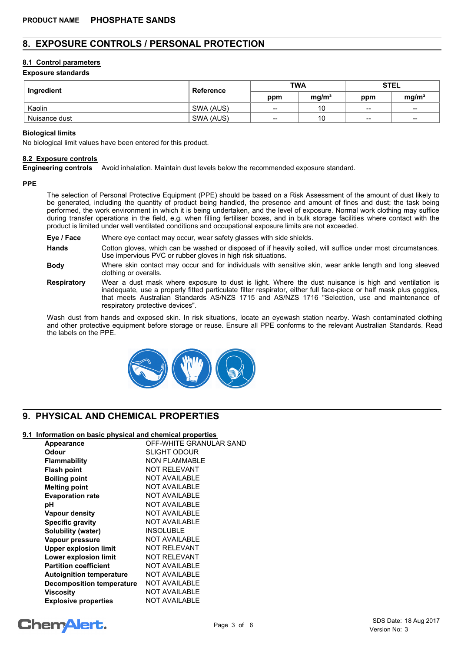# **8. EXPOSURE CONTROLS / PERSONAL PROTECTION**

## **8.1 Control parameters**

## **Exposure standards**

| Ingredient    | <b>Reference</b> | <b>TWA</b> |                   | <b>STEL</b>                                    |                                       |
|---------------|------------------|------------|-------------------|------------------------------------------------|---------------------------------------|
|               |                  | ppm        | mg/m <sup>3</sup> | ppm                                            | mq/m <sup>3</sup>                     |
| Kaolin        | SWA (AUS)        | --         | 10                | $\hspace{0.1mm}-\hspace{0.1mm}-\hspace{0.1mm}$ | $\hspace{0.05cm}$ $\hspace{0.05cm}$   |
| Nuisance dust | SWA (AUS)        | $-$        | 10                | $\hspace{0.1mm}-\hspace{0.1mm}-\hspace{0.1mm}$ | $\hspace{0.05cm}$ – $\hspace{0.05cm}$ |

#### **Biological limits**

No biological limit values have been entered for this product.

## **8.2 Exposure controls**

**Engineering controls** Avoid inhalation. Maintain dust levels below the recommended exposure standard.

#### **PPE**

The selection of Personal Protective Equipment (PPE) should be based on a Risk Assessment of the amount of dust likely to be generated, including the quantity of product being handled, the presence and amount of fines and dust; the task being performed, the work environment in which it is being undertaken, and the level of exposure. Normal work clothing may suffice during transfer operations in the field, e.g. when filling fertiliser boxes, and in bulk storage facilities where contact with the product is limited under well ventilated conditions and occupational exposure limits are not exceeded.

- **Eye / Face** Where eye contact may occur, wear safety glasses with side shields.
- **Hands** Cotton gloves, which can be washed or disposed of if heavily soiled, will suffice under most circumstances. Use impervious PVC or rubber gloves in high risk situations.
- **Body** Where skin contact may occur and for individuals with sensitive skin, wear ankle length and long sleeved clothing or overalls.
- **Respiratory** Wear a dust mask where exposure to dust is light. Where the dust nuisance is high and ventilation is inadequate, use a properly fitted particulate filter respirator, either full face-piece or half mask plus goggles, that meets Australian Standards AS/NZS 1715 and AS/NZS 1716 "Selection, use and maintenance of respiratory protective devices".

Wash dust from hands and exposed skin. In risk situations, locate an eyewash station nearby. Wash contaminated clothing and other protective equipment before storage or reuse. Ensure all PPE conforms to the relevant Australian Standards. Read the labels on the PPE.



# **9. PHYSICAL AND CHEMICAL PROPERTIES**

## **9.1 Information on basic physical and chemical properties**

| Appearance                       | OFF-WHITE GRANULAR SAND |
|----------------------------------|-------------------------|
| Odour                            | SLIGHT ODOUR            |
| <b>Flammability</b>              | <b>NON FLAMMABLE</b>    |
| <b>Flash point</b>               | <b>NOT RELEVANT</b>     |
| <b>Boiling point</b>             | <b>NOT AVAILABLE</b>    |
| <b>Melting point</b>             | <b>NOT AVAILABLE</b>    |
| <b>Evaporation rate</b>          | <b>NOT AVAILABLE</b>    |
| рH                               | <b>NOT AVAILABLE</b>    |
| <b>Vapour density</b>            | <b>NOT AVAILABLE</b>    |
| <b>Specific gravity</b>          | <b>NOT AVAILABLE</b>    |
| Solubility (water)               | <b>INSOLUBLE</b>        |
| Vapour pressure                  | <b>NOT AVAILABLE</b>    |
| <b>Upper explosion limit</b>     | <b>NOT RELEVANT</b>     |
| Lower explosion limit            | <b>NOT RELEVANT</b>     |
| <b>Partition coefficient</b>     | <b>NOT AVAILABLE</b>    |
| <b>Autoignition temperature</b>  | <b>NOT AVAILABLE</b>    |
| <b>Decomposition temperature</b> | <b>NOT AVAILABLE</b>    |
| Viscositv                        | <b>NOT AVAILABLE</b>    |
| <b>Explosive properties</b>      | <b>NOT AVAILABLE</b>    |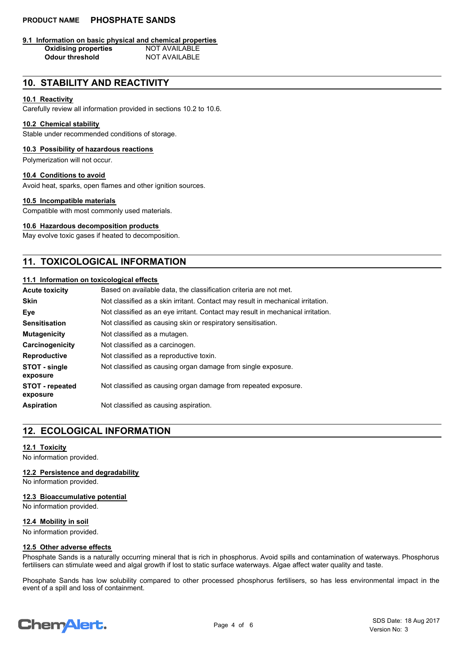# **PRODUCT NAME PHOSPHATE SANDS**

# **9.1 Information on basic physical and chemical properties**

**Oxidising properties Odour threshold** NOT AVAILABLE

# **10. STABILITY AND REACTIVITY**

## **10.1 Reactivity**

Carefully review all information provided in sections 10.2 to 10.6.

## **10.2 Chemical stability**

Stable under recommended conditions of storage.

## **10.3 Possibility of hazardous reactions**

Polymerization will not occur.

# **10.4 Conditions to avoid**

Avoid heat, sparks, open flames and other ignition sources.

### **10.5 Incompatible materials**

Compatible with most commonly used materials.

# **10.6 Hazardous decomposition products**

May evolve toxic gases if heated to decomposition.

# **11. TOXICOLOGICAL INFORMATION**

## **11.1 Information on toxicological effects**

| <b>Acute toxicity</b>              | Based on available data, the classification criteria are not met.               |
|------------------------------------|---------------------------------------------------------------------------------|
| <b>Skin</b>                        | Not classified as a skin irritant. Contact may result in mechanical irritation. |
| Eye                                | Not classified as an eye irritant. Contact may result in mechanical irritation. |
| <b>Sensitisation</b>               | Not classified as causing skin or respiratory sensitisation.                    |
| <b>Mutagenicity</b>                | Not classified as a mutagen.                                                    |
| Carcinogenicity                    | Not classified as a carcinogen.                                                 |
| <b>Reproductive</b>                | Not classified as a reproductive toxin.                                         |
| STOT - single<br>exposure          | Not classified as causing organ damage from single exposure.                    |
| <b>STOT</b> - repeated<br>exposure | Not classified as causing organ damage from repeated exposure.                  |
| <b>Aspiration</b>                  | Not classified as causing aspiration.                                           |

# **12. ECOLOGICAL INFORMATION**

## **12.1 Toxicity**

No information provided.

**12.2 Persistence and degradability**

No information provided.

## **12.3 Bioaccumulative potential**

No information provided.

# **12.4 Mobility in soil**

No information provided.

## **12.5 Other adverse effects**

Phosphate Sands is a naturally occurring mineral that is rich in phosphorus. Avoid spills and contamination of waterways. Phosphorus fertilisers can stimulate weed and algal growth if lost to static surface waterways. Algae affect water quality and taste.

Phosphate Sands has low solubility compared to other processed phosphorus fertilisers, so has less environmental impact in the event of a spill and loss of containment.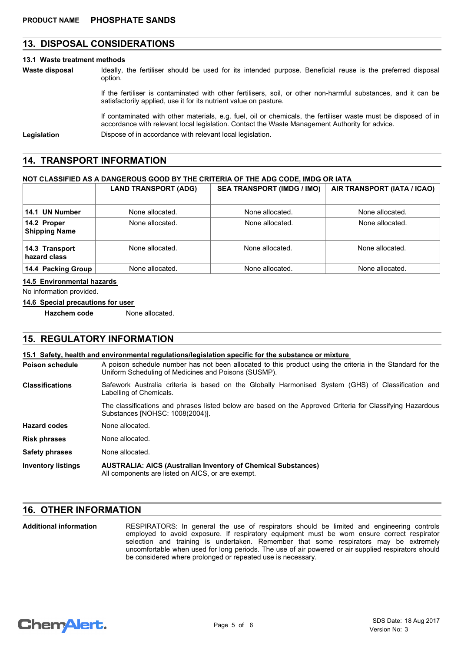# **13. DISPOSAL CONSIDERATIONS**

#### **13.1 Waste treatment methods**

Ideally, the fertiliser should be used for its intended purpose. Beneficial reuse is the preferred disposal option. **Waste disposal**

> If the fertiliser is contaminated with other fertilisers, soil, or other non-harmful substances, and it can be satisfactorily applied, use it for its nutrient value on pasture.

If contaminated with other materials, e.g. fuel, oil or chemicals, the fertiliser waste must be disposed of in accordance with relevant local legislation. Contact the Waste Management Authority for advice.

Legislation **Dispose of in accordance with relevant local legislation.** 

# **14. TRANSPORT INFORMATION**

# **NOT CLASSIFIED AS A DANGEROUS GOOD BY THE CRITERIA OF THE ADG CODE, IMDG OR IATA**

|                                     | <b>LAND TRANSPORT (ADG)</b> | <b>SEA TRANSPORT (IMDG / IMO)</b> | AIR TRANSPORT (IATA / ICAO) |
|-------------------------------------|-----------------------------|-----------------------------------|-----------------------------|
| 14.1 UN Number                      | None allocated.             | None allocated.                   | None allocated.             |
| 14.2 Proper<br><b>Shipping Name</b> | None allocated.             | None allocated.                   | None allocated.             |
| 14.3 Transport<br>hazard class      | None allocated.             | None allocated.                   | None allocated.             |
| 14.4 Packing Group                  | None allocated.             | None allocated.                   | None allocated.             |

#### **14.5 Environmental hazards**

No information provided.

## **14.6 Special precautions for user**

**Hazchem code** None allocated.

# **15. REGULATORY INFORMATION**

### **15.1 Safety, health and environmental regulations/legislation specific for the substance or mixture**

| Poison schedule | A poison schedule number has not been allocated to this product using the criteria in the Standard for the<br>Uniform Scheduling of Medicines and Poisons (SUSMP). |  |  |
|-----------------|--------------------------------------------------------------------------------------------------------------------------------------------------------------------|--|--|
| Classifications | Safework Australia criteria is based on the Globally Harmonised System (GHS) of Classification and<br>Labelling of Chemicals.                                      |  |  |
|                 | The classifications and phrases listed below are based on the Approved Criteria for Classifying Hazardous                                                          |  |  |

Substances [NOHSC: 1008(2004)].

| <b>Hazard codes</b> | None allocated. |
|---------------------|-----------------|
|                     |                 |

**Risk phrases** None allocated. **Safety phrases** None allocated.

**AUSTRALIA: AICS (Australian Inventory of Chemical Substances)** All components are listed on AICS, or are exempt. **Inventory listings**

# **16. OTHER INFORMATION**

RESPIRATORS: In general the use of respirators should be limited and engineering controls employed to avoid exposure. If respiratory equipment must be worn ensure correct respirator selection and training is undertaken. Remember that some respirators may be extremely uncomfortable when used for long periods. The use of air powered or air supplied respirators should be considered where prolonged or repeated use is necessary. **Additional information**